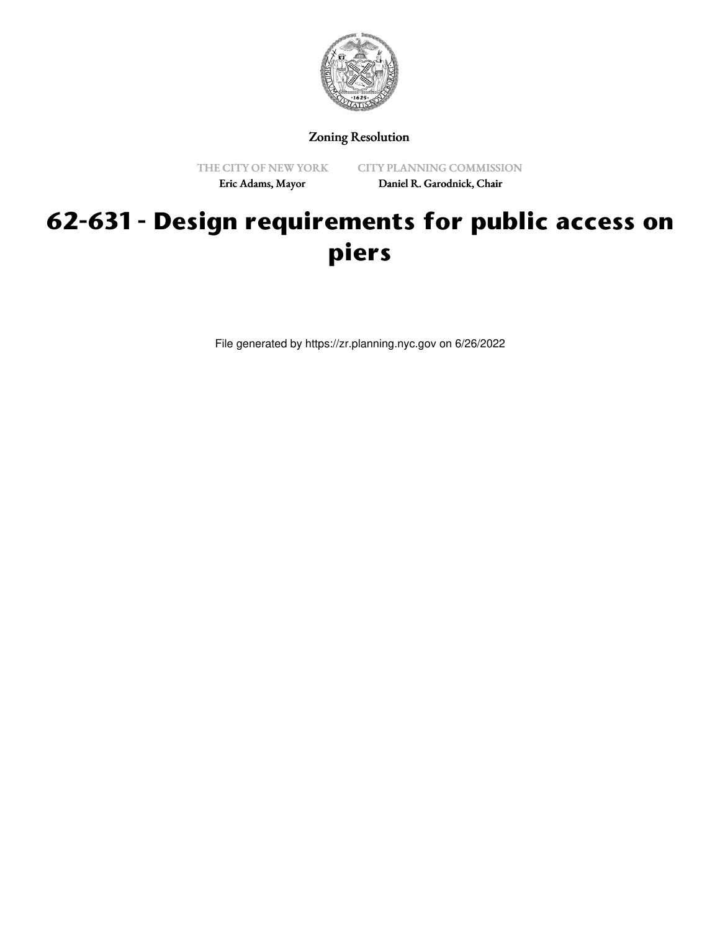

Zoning Resolution

THE CITY OF NEW YORK Eric Adams, Mayor

CITY PLANNING COMMISSION Daniel R. Garodnick, Chair

# **62-631 - Design requirements for public access on piers**

File generated by https://zr.planning.nyc.gov on 6/26/2022